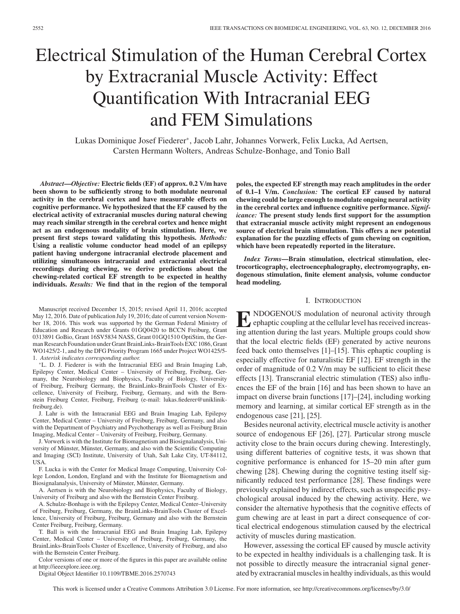# Electrical Stimulation of the Human Cerebral Cortex by Extracranial Muscle Activity: Effect Quantification With Intracranial EEG and FEM Simulations

Lukas Dominique Josef Fiederer∗, Jacob Lahr, Johannes Vorwerk, Felix Lucka, Ad Aertsen, Carsten Hermann Wolters, Andreas Schulze-Bonhage, and Tonio Ball

*Abstract***—***Objective:* **Electric fields (EF) of approx. 0.2 V/m have been shown to be sufficiently strong to both modulate neuronal activity in the cerebral cortex and have measurable effects on cognitive performance. We hypothesized that the EF caused by the electrical activity of extracranial muscles during natural chewing may reach similar strength in the cerebral cortex and hence might act as an endogenous modality of brain stimulation. Here, we present first steps toward validating this hypothesis.** *Methods:* **Using a realistic volume conductor head model of an epilepsy patient having undergone intracranial electrode placement and utilizing simultaneous intracranial and extracranial electrical recordings during chewing, we derive predictions about the chewing-related cortical EF strength to be expected in healthy individuals.** *Results:* **We find that in the region of the temporal**

Manuscript received December 15, 2015; revised April 11, 2016; accepted May 12, 2016. Date of publication July 19, 2016; date of current version November 18, 2016. This work was supported by the German Federal Ministry of Education and Research under Grants 01GQ0420 to BCCN Freiburg, Grant 0313891 GoBio, Grant 16SV5834 NASS, Grant 01GQ1510 OptiStim, the German Research Foundation under Grant BrainLinks-BrainTools EXC 1086, Grant WO1425/2-1, and by the DFG Priority Program 1665 under Project WO1425/5- 1. *Asterisk indicates corresponding author.*

∗L. D. J. Fiederer is with the Intracranial EEG and Brain Imaging Lab, Epilepsy Center, Medical Center – University of Freiburg, Freiburg, Germany, the Neurobiology and Biophysics, Faculty of Biology, University of Freiburg, Freiburg Germany, the BrainLinks-BrainTools Cluster of Excellence, University of Freiburg, Freiburg, Germany, and with the Bernstein Freiburg Center, Freiburg, Freiburg (e-mail: lukas.fiederer@uniklinikfreiburg.de).

J. Lahr is with the Intracranial EEG and Brain Imaging Lab, Epilepsy Center, Medical Center – University of Freiburg, Freiburg, Germany, and also with the Department of Psychiatry and Psychotherapy as well as Freiburg Brain Imaging, Medical Center – University of Freiburg, Freiburg, Germany.

J. Vorwerk is with the Institute for Biomagnetism and Biosignalanalysis, University of Münster, Münster, Germany, and also with the Scientific Computing and Imaging (SCI) Institute, University of Utah, Salt Lake City, UT-84112, USA.

F. Lucka is with the Center for Medical Image Computing, University College London, London, England and with the Institute for Biomagnetism and Biosignalanalysis, University of Münster, Münster, Germany.

A. Aertsen is with the Neurobiology and Biophysics, Faculty of Biology, University of Freiburg and also with the Bernstein Center Freiburg.

A. Schulze-Bonhage is with the Epilepsy Center, Medical Center–University of Freiburg, Freiburg, Germany, the BrainLinks-BrainTools Cluster of Excellence, University of Freiburg, Freiburg, Germany and also with the Bernstein Center Freiburg, Freiburg, Germany.

T. Ball is with the Intracranial EEG and Brain Imaging Lab, Epilepsy Center, Medical Center – University of Freiburg, Freiburg, Germany, the BrainLinks-BrainTools Cluster of Excellence, University of Freiburg, and also with the Bernstein Center Freiburg.

Color versions of one or more of the figures in this paper are available online at http://ieeexplore.ieee.org.

Digital Object Identifier 10.1109/TBME.2016.2570743

**poles, the expected EF strength may reach amplitudes in the order of 0.1–1 V/m.** *Conclusion:* **The cortical EF caused by natural chewing could be large enough to modulate ongoing neural activity in the cerebral cortex and influence cognitive performance.** *Significance:* **The present study lends first support for the assumption that extracranial muscle activity might represent an endogenous source of electrical brain stimulation. This offers a new potential explanation for the puzzling effects of gum chewing on cognition, which have been repeatedly reported in the literature.**

*Index Terms***—Brain stimulation, electrical stimulation, electrocorticography, electroencephalography, electromyography, endogenous stimulation, finite element analysis, volume conductor head modeling.**

#### I. INTRODUCTION

**E** NDOGENOUS modulation of neuronal activity through ephaptic coupling at the cellular level has received increasing attention during the last years. Multiple groups could show that the local electric fields (EF) generated by active neurons feed back onto themselves [1]–[15]. This ephaptic coupling is especially effective for naturalistic EF [12]. EF strength in the order of magnitude of 0.2 V/m may be sufficient to elicit these effects [13]. Transcranial electric stimulation (TES) also influences the EF of the brain [16] and has been shown to have an impact on diverse brain functions [17]–[24], including working memory and learning, at similar cortical EF strength as in the endogenous case [21], [25].

Besides neuronal activity, electrical muscle activity is another source of endogenous EF [26], [27]. Particular strong muscle activity close to the brain occurs during chewing. Interestingly, using different batteries of cognitive tests, it was shown that cognitive performance is enhanced for 15–20 min after gum chewing [28]. Chewing during the cognitive testing itself significantly reduced test performance [28]. These findings were previously explained by indirect effects, such as unspecific psychological arousal induced by the chewing activity. Here, we consider the alternative hypothesis that the cognitive effects of gum chewing are at least in part a direct consequence of cortical electrical endogenous stimulation caused by the electrical activity of muscles during mastication.

However, assessing the cortical EF caused by muscle activity to be expected in healthy individuals is a challenging task. It is not possible to directly measure the intracranial signal generated by extracranial muscles in healthy individuals, as this would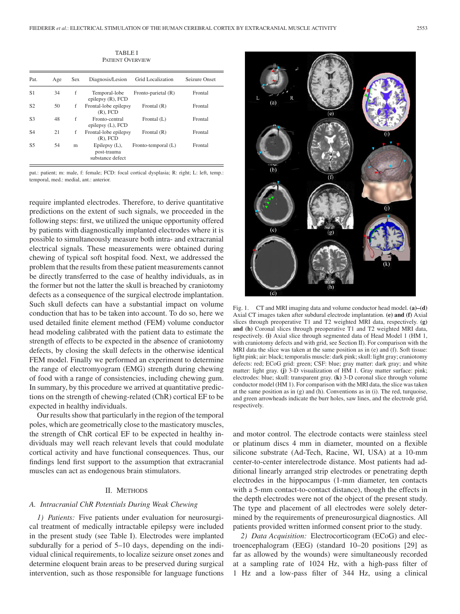TABLE I PATIENT OVERVIEW

| Pat.           | Age | <b>Sex</b> | Diagnosis/Lesion                                     | Grid Localization   | Seizure Onset |
|----------------|-----|------------|------------------------------------------------------|---------------------|---------------|
| S1             | 34  | f          | Temporal-lobe<br>epilepsy $(R)$ , FCD                | Fronto-parietal (R) | Frontal       |
| S <sub>2</sub> | 50  | f          | Frontal-lobe epilepsy<br>$(R)$ , FCD                 | Frontal $(R)$       | Frontal       |
| S <sub>3</sub> | 48  | f          | Fronto-central<br>epilepsy (L), FCD                  | Frontal $(L)$       | Frontal       |
| S <sub>4</sub> | 21  | f          | Frontal-lobe epilepsy<br>$(R)$ , FCD                 | Frontal (R)         | Frontal       |
| S5             | 54  | m          | Epilepsy $(L)$ ,<br>post-trauma<br>substance defect. | Fronto-temporal (L) | Frontal       |

pat.: patient; m: male, f: female; FCD: focal cortical dysplasia; R: right; L: left, temp.: temporal, med.: medial, ant.: anterior.

require implanted electrodes. Therefore, to derive quantitative predictions on the extent of such signals, we proceeded in the following steps: first, we utilized the unique opportunity offered by patients with diagnostically implanted electrodes where it is possible to simultaneously measure both intra- and extracranial electrical signals. These measurements were obtained during chewing of typical soft hospital food. Next, we addressed the problem that the results from these patient measurements cannot be directly transferred to the case of healthy individuals, as in the former but not the latter the skull is breached by craniotomy defects as a consequence of the surgical electrode implantation. Such skull defects can have a substantial impact on volume conduction that has to be taken into account. To do so, here we used detailed finite element method (FEM) volume conductor head modeling calibrated with the patient data to estimate the strength of effects to be expected in the absence of craniotomy defects, by closing the skull defects in the otherwise identical FEM model. Finally we performed an experiment to determine the range of electromyogram (EMG) strength during chewing of food with a range of consistencies, including chewing gum. In summary, by this procedure we arrived at quantitative predictions on the strength of chewing-related (ChR) cortical EF to be expected in healthy individuals.

Our results show that particularly in the region of the temporal poles, which are geometrically close to the masticatory muscles, the strength of ChR cortical EF to be expected in healthy individuals may well reach relevant levels that could modulate cortical activity and have functional consequences. Thus, our findings lend first support to the assumption that extracranial muscles can act as endogenous brain stimulators.

#### II. METHODS

#### *A. Intracranial ChR Potentials During Weak Chewing*

*1) Patients:* Five patients under evaluation for neurosurgical treatment of medically intractable epilepsy were included in the present study (see Table I). Electrodes were implanted subdurally for a period of 5–10 days, depending on the individual clinical requirements, to localize seizure onset zones and determine eloquent brain areas to be preserved during surgical intervention, such as those responsible for language functions



Fig. 1. CT and MRI imaging data and volume conductor head model. **(a)–(d)** Axial CT images taken after subdural electrode implantation. **(e) and (f)** Axial slices through preoperative T1 and T2 weighted MRI data, respectively. **(g) and (h)** Coronal slices through preoperative T1 and T2 weighted MRI data, respectively. **(i)** Axial slice through segmented data of Head Model 1 (HM 1, with craniotomy defects and with grid, see Section II). For comparison with the MRI data the slice was taken at the same position as in (e) and (f). Soft tissue: light pink; air: black; temporalis muscle: dark pink; skull: light gray; craniotomy defects: red; ECoG grid: green; CSF: blue; gray matter: dark gray; and white matter: light gray. **(j)** 3-D visualization of HM 1. Gray matter surface: pink; electrodes: blue; skull: transparent gray. **(k)** 3-D coronal slice through volume conductor model (HM 1). For comparison with the MRI data, the slice was taken at the same position as in (g) and (h). Conventions as in (i). The red, turquoise, and green arrowheads indicate the burr holes, saw lines, and the electrode grid, respectively.

and motor control. The electrode contacts were stainless steel or platinum discs 4 mm in diameter, mounted on a flexible silicone substrate (Ad-Tech, Racine, WI, USA) at a 10-mm center-to-center interelectrode distance. Most patients had additional linearly arranged strip electrodes or penetrating depth electrodes in the hippocampus (1-mm diameter, ten contacts with a 5-mm contact-to-contact distance), though the effects in the depth electrodes were not of the object of the present study. The type and placement of all electrodes were solely determined by the requirements of preneurosurgical diagnostics. All patients provided written informed consent prior to the study.

*2) Data Acquisition:* Electrocorticogram (ECoG) and electroencephalogram (EEG) (standard 10–20 positions [29] as far as allowed by the wounds) were simultaneously recorded at a sampling rate of 1024 Hz, with a high-pass filter of 1 Hz and a low-pass filter of 344 Hz, using a clinical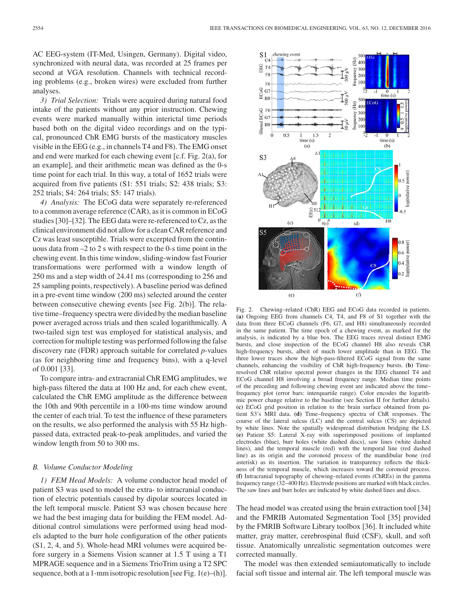AC EEG-system (IT-Med, Usingen, Germany). Digital video, synchronized with neural data, was recorded at 25 frames per second at VGA resolution. Channels with technical recording problems (e.g., broken wires) were excluded from further analyses.

*3) Trial Selection:* Trials were acquired during natural food intake of the patients without any prior instruction. Chewing events were marked manually within interictal time periods based both on the digital video recordings and on the typical, pronounced ChR EMG bursts of the masticatory muscles visible in the EEG (e.g., in channels T4 and F8). The EMG onset and end were marked for each chewing event [c.f. Fig. 2(a), for an example], and their arithmetic mean was defined as the 0-s time point for each trial. In this way, a total of 1652 trials were acquired from five patients (S1: 551 trials; S2: 438 trials; S3: 252 trials; S4: 264 trials; S5: 147 trials).

*4) Analysis:* The ECoG data were separately re-referenced to a common average reference (CAR), as it is common in ECoG studies [30]–[32]. The EEG data were re-referenced to Cz, as the clinical environment did not allow for a clean CAR reference and Cz was least susceptible. Trials were excerpted from the continuous data from –2 to 2 s with respect to the 0-s time point in the chewing event. In this time window, sliding-window fast Fourier transformations were performed with a window length of 250 ms and a step width of 24.41 ms (corresponding to 256 and 25 sampling points, respectively). A baseline period was defined in a pre-event time window (200 ms) selected around the center between consecutive chewing events [see Fig. 2(b)]. The relative time–frequency spectra were divided by the median baseline power averaged across trials and then scaled logarithmically. A two-tailed sign test was employed for statistical analysis, and correction for multiple testing was performed following the false discovery rate (FDR) approach suitable for correlated *p*-values (as for neighboring time and frequency bins), with a q-level of 0.001 [33].

To compare intra- and extracranial ChR EMG amplitudes, we high-pass filtered the data at 100 Hz and, for each chew event, calculated the ChR EMG amplitude as the difference between the 10th and 90th percentile in a 100-ms time window around the center of each trial. To test the influence of these parameters on the results, we also performed the analysis with 55 Hz highpassed data, extracted peak-to-peak amplitudes, and varied the window length from 50 to 300 ms.

#### *B. Volume Conductor Modeling*

*1) FEM Head Models:* A volume conductor head model of patient S3 was used to model the extra- to intracranial conduction of electric potentials caused by dipolar sources located in the left temporal muscle. Patient S3 was chosen because here we had the best imaging data for building the FEM model. Additional control simulations were performed using head models adapted to the burr hole configuration of the other patients (S1, 2, 4, and 5). Whole-head MRI volumes were acquired before surgery in a Siemens Vision scanner at 1.5 T using a T1 MPRAGE sequence and in a Siemens TrioTrim using a T2 SPC sequence, both at a 1-mm isotropic resolution [see Fig. 1(e)–(h)].



Fig. 2. Chewing–related (ChR) EEG and ECoG data recorded in patients. **(a)** Ongoing EEG from channels C4, T4, and F8 of S1 together with the data from three ECoG channels (F6, G7, and H8) simultaneously recorded in the same patient. The time epoch of a chewing event, as marked for the analysis, is indicated by a blue box. The EEG traces reveal distinct EMG bursts, and close inspection of the ECoG channel H8 also reveals ChR high-frequency bursts, albeit of much lower amplitude than in EEG. The three lower traces show the high-pass-filtered ECoG signal from the same channels, enhancing the visibility of ChR high-frequency bursts. **(b)** Timeresolved ChR relative spectral power changes in the EEG channel T4 and ECoG channel H8 involving a broad frequency range. Median time points of the preceding and following chewing event are indicated above the time– frequency plot (error bars: interquartile range). Color encodes the logarithmic power change relative to the baseline (see Section II for further details). **(c)** ECoG grid position in relation to the brain surface obtained from patient S3's MRI data. **(d)** Time–frequency spectra of ChR responses. The course of the lateral sulcus (LC) and the central sulcus (CS) are depicted by white lines. Note the spatially widespread distribution bridging the LS. **(e)** Patient S5: Lateral X-ray with superimposed positions of implanted electrodes (blue), burr holes (white dashed discs), saw lines (white dashed lines), and the temporal muscle (red) with the temporal line (red dashed line) as its origin and the coronoid process of the mandibular bone (red asterisk) as its insertion. The variation in transparency reflects the thickness of the temporal muscle, which increases toward the coronoid process. **(f)** Intracranial topography of chewing–related events (ChREs) in the gamma frequency range (32–400 Hz). Electrode positions are marked with black circles. The saw lines and burr holes are indicated by white dashed lines and discs.

The head model was created using the brain extraction tool [34] and the FMRIB Automated Segmentation Tool [35] provided by the FMRIB Software Library toolbox [36]. It included white matter, gray matter, cerebrospinal fluid (CSF), skull, and soft tissue. Anatomically unrealistic segmentation outcomes were corrected manually.

The model was then extended semiautomatically to include facial soft tissue and internal air. The left temporal muscle was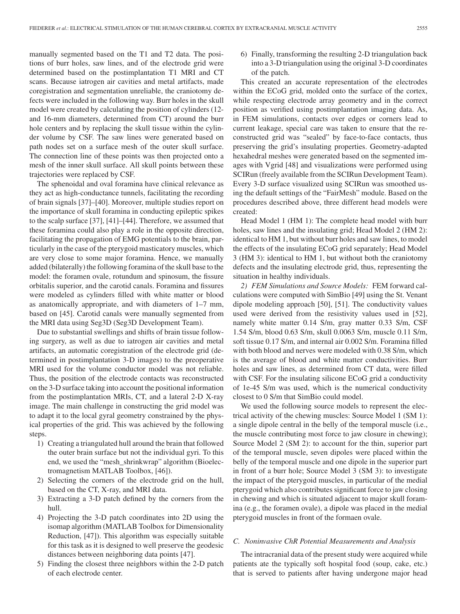manually segmented based on the T1 and T2 data. The positions of burr holes, saw lines, and of the electrode grid were determined based on the postimplantation T1 MRI and CT scans. Because iatrogen air cavities and metal artifacts, made coregistration and segmentation unreliable, the craniotomy defects were included in the following way. Burr holes in the skull model were created by calculating the position of cylinders (12 and 16-mm diameters, determined from CT) around the burr hole centers and by replacing the skull tissue within the cylinder volume by CSF. The saw lines were generated based on path nodes set on a surface mesh of the outer skull surface. The connection line of these points was then projected onto a mesh of the inner skull surface. All skull points between these trajectories were replaced by CSF.

The sphenoidal and oval foramina have clinical relevance as they act as high-conductance tunnels, facilitating the recording of brain signals [37]–[40]. Moreover, multiple studies report on the importance of skull foramina in conducting epileptic spikes to the scalp surface [37], [41]–[44]. Therefore, we assumed that these foramina could also play a role in the opposite direction, facilitating the propagation of EMG potentials to the brain, particularly in the case of the pterygoid masticatory muscles, which are very close to some major foramina. Hence, we manually added (bilaterally) the following foramina of the skull base to the model: the foramen ovale, rotundum and spinosum, the fissure orbitalis superior, and the carotid canals. Foramina and fissures were modeled as cylinders filled with white matter or blood as anatomically appropriate, and with diameters of 1–7 mm, based on [45]. Carotid canals were manually segmented from the MRI data using Seg3D (Seg3D Development Team).

Due to substantial swellings and shifts of brain tissue following surgery, as well as due to iatrogen air cavities and metal artifacts, an automatic coregistration of the electrode grid (determined in postimplantation 3-D images) to the preoperative MRI used for the volume conductor model was not reliable. Thus, the position of the electrode contacts was reconstructed on the 3-D surface taking into account the positional information from the postimplantation MRIs, CT, and a lateral 2-D X-ray image. The main challenge in constructing the grid model was to adapt it to the local gyral geometry constrained by the physical properties of the grid. This was achieved by the following steps.

- 1) Creating a triangulated hull around the brain that followed the outer brain surface but not the individual gyri. To this end, we used the "mesh\_shrinkwrap" algorithm (Bioelectromagnetism MATLAB Toolbox, [46]).
- 2) Selecting the corners of the electrode grid on the hull, based on the CT, X-ray, and MRI data.
- 3) Extracting a 3-D patch defined by the corners from the hull.
- 4) Projecting the 3-D patch coordinates into 2D using the isomap algorithm (MATLAB Toolbox for Dimensionality Reduction, [47]). This algorithm was especially suitable for this task as it is designed to well preserve the geodesic distances between neighboring data points [47].
- 5) Finding the closest three neighbors within the 2-D patch of each electrode center.

6) Finally, transforming the resulting 2-D triangulation back into a 3-D triangulation using the original 3-D coordinates of the patch.

This created an accurate representation of the electrodes within the ECoG grid, molded onto the surface of the cortex, while respecting electrode array geometry and in the correct position as verified using postimplantation imaging data. As, in FEM simulations, contacts over edges or corners lead to current leakage, special care was taken to ensure that the reconstructed grid was "sealed" by face-to-face contacts, thus preserving the grid's insulating properties. Geometry-adapted hexahedral meshes were generated based on the segmented images with Vgrid [48] and visualizations were performed using SCIRun (freely available from the SCIRun Development Team). Every 3-D surface visualized using SCIRun was smoothed using the default settings of the "FairMesh" module. Based on the procedures described above, three different head models were created:

Head Model 1 (HM 1): The complete head model with burr holes, saw lines and the insulating grid; Head Model 2 (HM 2): identical to HM 1, but without burr holes and saw lines, to model the effects of the insulating ECoG grid separately; Head Model 3 (HM 3): identical to HM 1, but without both the craniotomy defects and the insulating electrode grid, thus, representing the situation in healthy individuals.

*2) FEM Simulations and Source Models:* FEM forward calculations were computed with SimBio [49] using the St. Venant dipole modeling approach [50], [51]. The conductivity values used were derived from the resistivity values used in [52], namely white matter 0.14 S/m, gray matter 0.33 S/m, CSF 1.54 S/m, blood 0.63 S/m, skull 0.0063 S/m, muscle 0.11 S/m, soft tissue 0.17 S/m, and internal air 0.002 S/m. Foramina filled with both blood and nerves were modeled with 0.38 S/m, which is the average of blood and white matter conductivities. Burr holes and saw lines, as determined from CT data, were filled with CSF. For the insulating silicone ECoG grid a conductivity of 1e-45 S/m was used, which is the numerical conductivity closest to 0 S/m that SimBio could model.

We used the following source models to represent the electrical activity of the chewing muscles: Source Model 1 (SM 1): a single dipole central in the belly of the temporal muscle (i.e., the muscle contributing most force to jaw closure in chewing); Source Model 2 (SM 2): to account for the thin, superior part of the temporal muscle, seven dipoles were placed within the belly of the temporal muscle and one dipole in the superior part in front of a burr hole; Source Model 3 (SM 3): to investigate the impact of the pterygoid muscles, in particular of the medial pterygoid which also contributes significant force to jaw closing in chewing and which is situated adjacent to major skull foramina (e.g., the foramen ovale), a dipole was placed in the medial pterygoid muscles in front of the formaen ovale.

## *C. Noninvasive ChR Potential Measurements and Analysis*

The intracranial data of the present study were acquired while patients ate the typically soft hospital food (soup, cake, etc.) that is served to patients after having undergone major head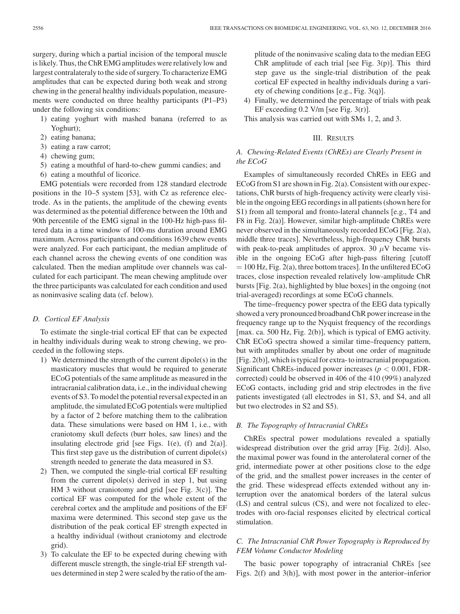surgery, during which a partial incision of the temporal muscle is likely. Thus, the ChR EMG amplitudes were relatively low and largest contralateraly to the side of surgery. To characterize EMG amplitudes that can be expected during both weak and strong chewing in the general healthy individuals population, measurements were conducted on three healthy participants (P1–P3) under the following six conditions:

- 1) eating yoghurt with mashed banana (referred to as Yoghurt);
- 2) eating banana;
- 3) eating a raw carrot;
- 4) chewing gum;
- 5) eating a mouthful of hard-to-chew gummi candies; and
- 6) eating a mouthful of licorice.

EMG potentials were recorded from 128 standard electrode positions in the 10–5 system [53], with Cz as reference electrode. As in the patients, the amplitude of the chewing events was determined as the potential difference between the 10th and 90th percentile of the EMG signal in the 100-Hz high-pass filtered data in a time window of 100-ms duration around EMG maximum. Across participants and conditions 1639 chew events were analyzed. For each participant, the median amplitude of each channel across the chewing events of one condition was calculated. Then the median amplitude over channels was calculated for each participant. The mean chewing amplitude over the three participants was calculated for each condition and used as noninvasive scaling data (cf. below).

#### *D. Cortical EF Analysis*

To estimate the single-trial cortical EF that can be expected in healthy individuals during weak to strong chewing, we proceeded in the following steps.

- 1) We determined the strength of the current dipole(s) in the masticatory muscles that would be required to generate ECoG potentials of the same amplitude as measured in the intracranial calibration data, i.e., in the individual chewing events of S3. To model the potential reversal expected in an amplitude, the simulated ECoG potentials were multiplied by a factor of 2 before matching them to the calibration data. These simulations were based on HM 1, i.e., with craniotomy skull defects (burr holes, saw lines) and the insulating electrode grid [see Figs. 1(e), (f) and  $2(a)$ ]. This first step gave us the distribution of current dipole(s) strength needed to generate the data measured in S3.
- 2) Then, we computed the single-trial cortical EF resulting from the current dipole(s) derived in step 1, but using HM 3 without craniotomy and grid [see Fig. 3(c)]. The cortical EF was computed for the whole extent of the cerebral cortex and the amplitude and positions of the EF maxima were determined. This second step gave us the distribution of the peak cortical EF strength expected in a healthy individual (without craniotomy and electrode grid).
- 3) To calculate the EF to be expected during chewing with different muscle strength, the single-trial EF strength values determined in step 2 were scaled by the ratio of the am-

plitude of the noninvasive scaling data to the median EEG ChR amplitude of each trial [see Fig.  $3(p)$ ]. This third step gave us the single-trial distribution of the peak cortical EF expected in healthy individuals during a variety of chewing conditions [e.g., Fig. 3(q)].

4) Finally, we determined the percentage of trials with peak EF exceeding  $0.2$  V/m [see Fig. 3(r)].

This analysis was carried out with SMs 1, 2, and 3.

## III. RESULTS

# *A. Chewing-Related Events (ChREs) are Clearly Present in the ECoG*

Examples of simultaneously recorded ChREs in EEG and ECoG from S1 are shown in Fig. 2(a). Consistent with our expectations, ChR bursts of high-frequency activity were clearly visible in the ongoing EEG recordings in all patients (shown here for S1) from all temporal and fronto-lateral channels [e.g., T4 and F8 in Fig. 2(a)]. However, similar high-amplitude ChREs were never observed in the simultaneously recorded ECoG [Fig. 2(a), middle three traces]. Nevertheless, high-frequency ChR bursts with peak-to-peak amplitudes of approx. 30  $\mu$ V became visible in the ongoing ECoG after high-pass filtering [cutoff  $= 100$  Hz, Fig. 2(a), three bottom traces]. In the unfiltered ECoG traces, close inspection revealed relatively low-amplitude ChR bursts [Fig. 2(a), highlighted by blue boxes] in the ongoing (not trial-averaged) recordings at some ECoG channels.

The time–frequency power spectra of the EEG data typically showed a very pronounced broadband ChR power increase in the frequency range up to the Nyquist frequency of the recordings [max. ca. 500 Hz, Fig. 2(b)], which is typical of EMG activity. ChR ECoG spectra showed a similar time–frequency pattern, but with amplitudes smaller by about one order of magnitude [Fig. 2(b)], which is typical for extra- to intracranial propagation. Significant ChREs-induced power increases (*p <* 0.001, FDRcorrected) could be observed in 406 of the 410 (99%) analyzed ECoG contacts, including grid and strip electrodes in the five patients investigated (all electrodes in S1, S3, and S4, and all but two electrodes in S2 and S5).

## *B. The Topography of Intracranial ChREs*

ChREs spectral power modulations revealed a spatially widespread distribution over the grid array [Fig. 2(d)]. Also, the maximal power was found in the anterolateral corner of the grid, intermediate power at other positions close to the edge of the grid, and the smallest power increases in the center of the grid. These widespread effects extended without any interruption over the anatomical borders of the lateral sulcus (LS) and central sulcus (CS), and were not focalized to electrodes with oro-facial responses elicited by electrical cortical stimulation.

# *C. The Intracranial ChR Power Topography is Reproduced by FEM Volume Conductor Modeling*

The basic power topography of intracranial ChREs [see Figs. 2(f) and 3(h)], with most power in the anterior–inferior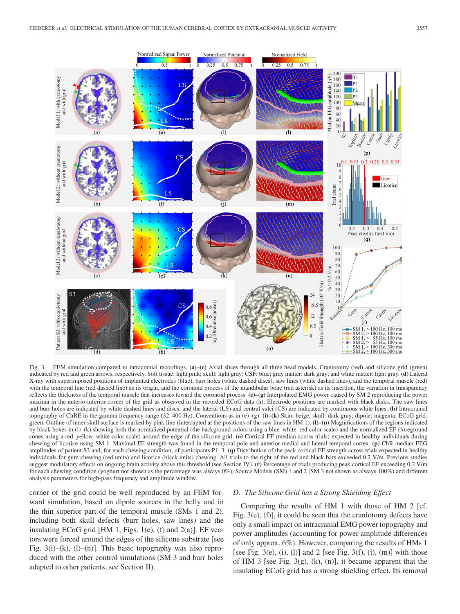

Fig. 3. FEM simulation compared to intracranial recordings. **(a)–(c)** Axial slices through all three head models. Craniotomy (red) and silicone grid (green) indicated by red and green arrows, respectively. Soft tissue: light pink; skull: light gray; CSF: blue; gray matter: dark gray; and white matter: light gray. **(d)** Lateral X-ray with superimposed positions of implanted electrodes (blue), burr holes (white dashed discs), saw lines (white dashed lines), and the temporal muscle (red) with the temporal line (red dashed line) as its origin, and the coronoid process of the mandibular bone (red asterisk) as its insertion, the variation in transparency reflects the thickness of the temporal muscle that increases toward the coronoid process. **(e)–(g)** Interpolated EMG power caused by SM 2 reproducing the power maxima in the anterio-inferior corner of the grid as observed in the recorded ECoG data (h). Electrode positions are marked with black disks. The saw lines and burr holes are indicated by white dashed lines and discs, and the lateral (LS) and central sulci (CS) are indicated by continuous white lines. **(h)** Intracranial topography of ChRE in the gamma frequency range (32–400 Hz). Conventions as in (e)–(g). **(i)–(k)** Skin: beige, skull: dark gray; dipole: magenta; ECoG grid: green. Outline of inner skull surface is marked by pink line (interrupted at the positions of the saw lines in HM 1). **(l)–(n)** Magnifications of the regions indicated by black boxes in (i)–(k) showing both the normalized potential (the background colors using a blue–white–red color scale) and the normalized EF (foreground cones using a red–yellow–white color scale) around the edge of the silicone grid. **(o)** Cortical EF (median across trials) expected in healthy individuals during chewing of licorice using SM 1. Maximal EF strength was found in the temporal pole and anterior medial and lateral temporal cortex. **(p)** ChR median EEG amplitudes of patient S3 and, for each chewing condition, of participants P1–3. **(q)** Distribution of the peak cortical EF strength across trials expected in healthy individuals for gum chewing (red units) and licorice (black units) chewing. All trials to the right of the red and black bars exceeded 0.2 V/m. Previous studies suggest modulatory effects on ongoing brain activity above this threshold (see Section IV). **(r)** Percentage of trials producing peak cortical EF exceeding 0.2 V/m for each chewing condition (yoghurt not shown as the percentage was always 0%), Source Models (SM) 1 and 2 (SM 3 not shown as always 100%) and different analysis parameters for high-pass frequency and amplitude window.

corner of the grid could be well reproduced by an FEM forward simulation, based on dipole sources in the belly and in the thin superior part of the temporal muscle (SMs 1 and 2), including both skull defects (burr holes, saw lines) and the insulating ECoG grid  $[HM 1, Figs. 1(e), (f)$  and  $2(a)$ ]. EF vectors were forced around the edges of the silicone substrate [see Fig. 3(i)–(k), (l)–(n)]. This basic topography was also reproduced with the other control simulations (SM 3 and burr holes adapted to other patients, see Section II).

## *D. The Silicone Grid has a Strong Shielding Effect*

Comparing the results of HM 1 with those of HM 2 [cf. Fig. 3(e), (f)], it could be seen that the craniotomy defects have only a small impact on intracranial EMG power topography and power amplitudes (accounting for power amplitude differences of only approx. 6%). However, comparing the results of HMs 1 [see Fig. 3(e), (i), (l)] and 2 [see Fig. 3(f), (j), (m)] with those of HM 3 [see Fig. 3(g),  $(k)$ ,  $(n)$ ], it became apparent that the insulating ECoG grid has a strong shielding effect. Its removal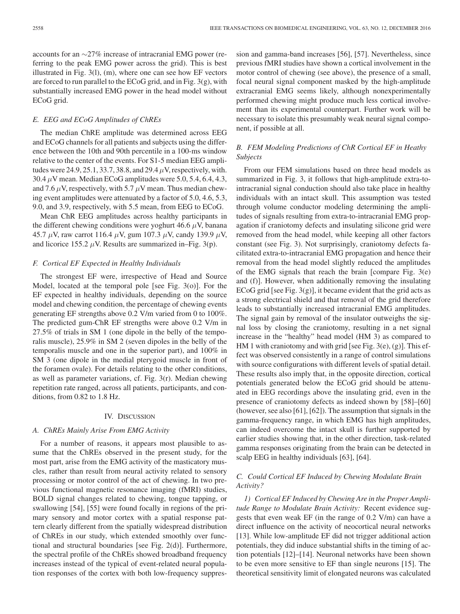accounts for an ∼27% increase of intracranial EMG power (referring to the peak EMG power across the grid). This is best illustrated in Fig. 3(l), (m), where one can see how EF vectors are forced to run parallel to the ECoG grid, and in Fig. 3(g), with substantially increased EMG power in the head model without ECoG grid.

## *E. EEG and ECoG Amplitudes of ChREs*

The median ChRE amplitude was determined across EEG and ECoG channels for all patients and subjects using the difference between the 10th and 90th percentile in a 100-ms window relative to the center of the events. For S1-5 median EEG amplitudes were 24.9, 25.1, 33.7, 38.8, and 29.4*µ*V, respectively, with.  $30.4 \mu$ V mean. Median ECoG amplitudes were 5.0, 5.4, 6.4, 4.3, and 7.6  $\mu$ V, respectively, with 5.7  $\mu$ V mean. Thus median chewing event amplitudes were attenuated by a factor of 5.0, 4.6, 5.3, 9.0, and 3.9, respectively, with 5.5 mean, from EEG to ECoG.

Mean ChR EEG amplitudes across healthy participants in the different chewing conditions were yoghurt 46.6  $\mu$ V, banana 45.7 *µ*V, raw carrot 116.4 *µ*V, gum 107.3 *µ*V, candy 139.9 *µ*V, and licorice 155.2  $\mu$ V. Results are summarized in–Fig. 3(p).

#### *F. Cortical EF Expected in Healthy Individuals*

The strongest EF were, irrespective of Head and Source Model, located at the temporal pole [see Fig. 3(o)]. For the EF expected in healthy individuals, depending on the source model and chewing condition, the percentage of chewing events generating EF strengths above 0.2 V/m varied from 0 to 100%. The predicted gum-ChR EF strengths were above 0.2 V/m in 27.5% of trials in SM 1 (one dipole in the belly of the temporalis muscle), 25.9% in SM 2 (seven dipoles in the belly of the temporalis muscle and one in the superior part), and 100% in SM 3 (one dipole in the medial pterygoid muscle in front of the foramen ovale). For details relating to the other conditions, as well as parameter variations, cf. Fig. 3(r). Median chewing repetition rate ranged, across all patients, participants, and conditions, from 0.82 to 1.8 Hz.

#### IV. DISCUSSION

## *A. ChREs Mainly Arise From EMG Activity*

For a number of reasons, it appears most plausible to assume that the ChREs observed in the present study, for the most part, arise from the EMG activity of the masticatory muscles, rather than result from neural activity related to sensory processing or motor control of the act of chewing. In two previous functional magnetic resonance imaging (fMRI) studies, BOLD signal changes related to chewing, tongue tapping, or swallowing [54], [55] were found focally in regions of the primary sensory and motor cortex with a spatial response pattern clearly different from the spatially widespread distribution of ChREs in our study, which extended smoothly over functional and structural boundaries [see Fig. 2(d)]. Furthermore, the spectral profile of the ChREs showed broadband frequency increases instead of the typical of event-related neural population responses of the cortex with both low-frequency suppression and gamma-band increases [56], [57]. Nevertheless, since previous fMRI studies have shown a cortical involvement in the motor control of chewing (see above), the presence of a small, focal neural signal component masked by the high-amplitude extracranial EMG seems likely, although nonexperimentally performed chewing might produce much less cortical involvement than its experimental counterpart. Further work will be necessary to isolate this presumably weak neural signal component, if possible at all.

# *B. FEM Modeling Predictions of ChR Cortical EF in Heathy Subjects*

From our FEM simulations based on three head models as summarized in Fig. 3, it follows that high-amplitude extra-tointracranial signal conduction should also take place in healthy individuals with an intact skull. This assumption was tested through volume conductor modeling determining the amplitudes of signals resulting from extra-to-intracranial EMG propagation if craniotomy defects and insulating silicone grid were removed from the head model, while keeping all other factors constant (see Fig. 3). Not surprisingly, craniotomy defects facilitated extra-to-intracranial EMG propagation and hence their removal from the head model slightly reduced the amplitudes of the EMG signals that reach the brain [compare Fig. 3(e) and (f)]. However, when additionally removing the insulating ECoG grid [see Fig. 3(g)], it became evident that the grid acts as a strong electrical shield and that removal of the grid therefore leads to substantially increased intracranial EMG amplitudes. The signal gain by removal of the insulator outweighs the signal loss by closing the craniotomy, resulting in a net signal increase in the "healthy" head model (HM 3) as compared to HM 1 with craniotomy and with grid [see Fig. 3(e), (g)]. This effect was observed consistently in a range of control simulations with source configurations with different levels of spatial detail. These results also imply that, in the opposite direction, cortical potentials generated below the ECoG grid should be attenuated in EEG recordings above the insulating grid, even in the presence of craniotomy defects as indeed shown by [58]–[60] (however, see also [61], [62]). The assumption that signals in the gamma-frequency range, in which EMG has high amplitudes, can indeed overcome the intact skull is further supported by earlier studies showing that, in the other direction, task-related gamma responses originating from the brain can be detected in scalp EEG in healthy individuals [63], [64].

# *C. Could Cortical EF Induced by Chewing Modulate Brain Activity?*

*1) Cortical EF Induced by Chewing Are in the Proper Amplitude Range to Modulate Brain Activity:* Recent evidence suggests that even weak EF (in the range of 0.2 V/m) can have a direct influence on the activity of neocortical neural networks [13]. While low-amplitude EF did not trigger additional action potentials, they did induce substantial shifts in the timing of action potentials [12]–[14]. Neuronal networks have been shown to be even more sensitive to EF than single neurons [15]. The theoretical sensitivity limit of elongated neurons was calculated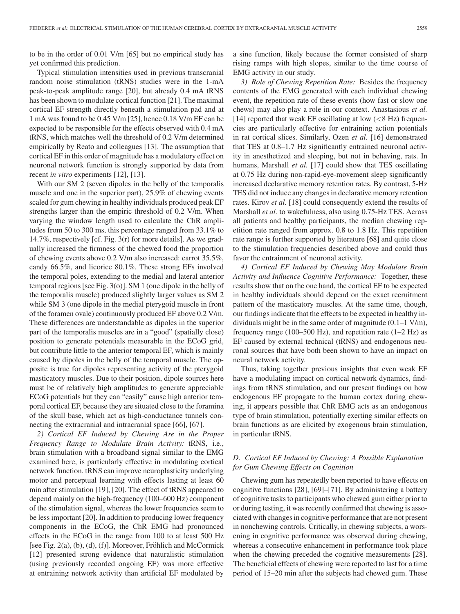to be in the order of 0.01 V/m [65] but no empirical study has yet confirmed this prediction.

Typical stimulation intensities used in previous transcranial random noise stimulation (tRNS) studies were in the 1-mA peak-to-peak amplitude range [20], but already 0.4 mA tRNS has been shown to modulate cortical function [21]. The maximal cortical EF strength directly beneath a stimulation pad and at 1 mA was found to be 0.45 V/m [25], hence 0.18 V/m EF can be expected to be responsible for the effects observed with 0.4 mA tRNS, which matches well the threshold of 0.2 V/m determined empirically by Reato and colleagues [13]. The assumption that cortical EF in this order of magnitude has a modulatory effect on neuronal network function is strongly supported by data from recent *in vitro* experiments [12], [13].

With our SM 2 (seven dipoles in the belly of the temporalis muscle and one in the superior part), 25.9% of chewing events scaled for gum chewing in healthy individuals produced peak EF strengths larger than the empiric threshold of 0.2 V/m. When varying the window length used to calculate the ChR amplitudes from 50 to 300 ms, this percentage ranged from 33.1% to 14.7%, respectively [cf. Fig. 3(r) for more details]. As we gradually increased the firmness of the chewed food the proportion of chewing events above 0.2 V/m also increased: carrot 35.5%, candy 66.5%, and licorice 80.1%. These strong EFs involved the temporal poles, extending to the medial and lateral anterior temporal regions[see Fig. 3(o)]. SM 1 (one dipole in the belly of the temporalis muscle) produced slightly larger values as SM 2 while SM 3 (one dipole in the medial pterygoid muscle in front of the foramen ovale) continuously produced EF above 0.2 V/m. These differences are understandable as dipoles in the superior part of the temporalis muscles are in a "good" (spatially close) position to generate potentials measurable in the ECoG grid, but contribute little to the anterior temporal EF, which is mainly caused by dipoles in the belly of the temporal muscle. The opposite is true for dipoles representing activity of the pterygoid masticatory muscles. Due to their position, dipole sources here must be of relatively high amplitudes to generate appreciable ECoG potentials but they can "easily" cause high anterior temporal cortical EF, because they are situated close to the foramina of the skull base, which act as high-conductance tunnels connecting the extracranial and intracranial space [66], [67].

*2) Cortical EF Induced by Chewing Are in the Proper Frequency Range to Modulate Brain Activity:* tRNS, i.e., brain stimulation with a broadband signal similar to the EMG examined here, is particularly effective in modulating cortical network function. tRNS can improve neuroplasticity underlying motor and perceptual learning with effects lasting at least 60 min after stimulation [19], [20]. The effect of tRNS appeared to depend mainly on the high-frequency (100–600 Hz) component of the stimulation signal, whereas the lower frequencies seem to be less important [20]. In addition to producing lower frequency components in the ECoG, the ChR EMG had pronounced effects in the ECoG in the range from 100 to at least 500 Hz [see Fig.  $2(a)$ ,  $(b)$ ,  $(d)$ ,  $(f)$ ]. Moreover, Fröhlich and McCormick [12] presented strong evidence that naturalistic stimulation (using previously recorded ongoing EF) was more effective at entraining network activity than artificial EF modulated by

a sine function, likely because the former consisted of sharp rising ramps with high slopes, similar to the time course of EMG activity in our study.

*3) Role of Chewing Repetition Rate:* Besides the frequency contents of the EMG generated with each individual chewing event, the repetition rate of these events (how fast or slow one chews) may also play a role in our context. Anastasious *et al.* [14] reported that weak EF oscillating at low (*<*8 Hz) frequencies are particularly effective for entraining action potentials in rat cortical slices. Similarly, Ozen *et al.* [16] demonstrated that TES at 0.8–1.7 Hz significantly entrained neuronal activity in anesthetized and sleeping, but not in behaving, rats. In humans, Marshall *et al.* [17] could show that TES oscillating at 0.75 Hz during non-rapid-eye-movement sleep significantly increased declarative memory retention rates. By contrast, 5-Hz TES did not induce any changes in declarative memory retention rates. Kirov *et al.* [18] could consequently extend the results of Marshall *et al.* to wakefulness, also using 0.75-Hz TES. Across all patients and healthy participants, the median chewing repetition rate ranged from approx. 0.8 to 1.8 Hz. This repetition rate range is further supported by literature [68] and quite close to the stimulation frequencies described above and could thus favor the entrainment of neuronal activity.

*4) Cortical EF Induced by Chewing May Modulate Brain Activity and Influence Cognitive Performance:* Together, these results show that on the one hand, the cortical EF to be expected in healthy individuals should depend on the exact recruitment pattern of the masticatory muscles. At the same time, though, our findings indicate that the effects to be expected in healthy individuals might be in the same order of magnitude (0.1–1 V/m), frequency range (100–500 Hz), and repetition rate  $(1-2$  Hz) as EF caused by external technical (tRNS) and endogenous neuronal sources that have both been shown to have an impact on neural network activity.

Thus, taking together previous insights that even weak EF have a modulating impact on cortical network dynamics, findings from tRNS stimulation, and our present findings on how endogenous EF propagate to the human cortex during chewing, it appears possible that ChR EMG acts as an endogenous type of brain stimulation, potentially exerting similar effects on brain functions as are elicited by exogenous brain stimulation, in particular tRNS.

# *D. Cortical EF Induced by Chewing: A Possible Explanation for Gum Chewing Effects on Cognition*

Chewing gum has repeatedly been reported to have effects on cognitive functions [28], [69]–[71]. By administering a battery of cognitive tasks to participants who chewed gum either prior to or during testing, it was recently confirmed that chewing is associated with changes in cognitive performance that are not present in nonchewing controls. Critically, in chewing subjects, a worsening in cognitive performance was observed during chewing, whereas a consecutive enhancement in performance took place when the chewing preceded the cognitive measurements [28]. The beneficial effects of chewing were reported to last for a time period of 15–20 min after the subjects had chewed gum. These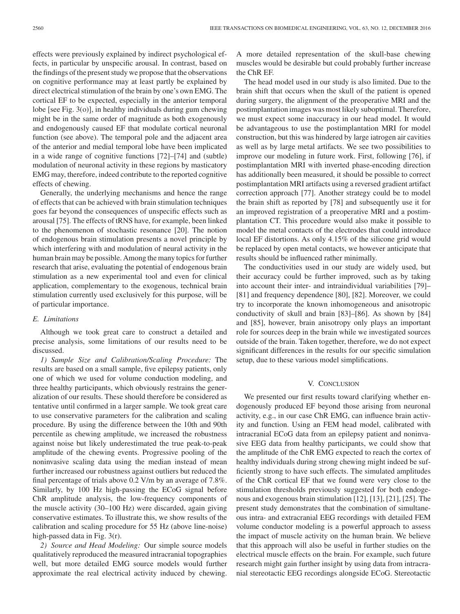effects were previously explained by indirect psychological effects, in particular by unspecific arousal. In contrast, based on the findings of the present study we propose that the observations on cognitive performance may at least partly be explained by direct electrical stimulation of the brain by one's own EMG. The cortical EF to be expected, especially in the anterior temporal lobe [see Fig. 3(o)], in healthy individuals during gum chewing might be in the same order of magnitude as both exogenously and endogenously caused EF that modulate cortical neuronal function (see above). The temporal pole and the adjacent area of the anterior and medial temporal lobe have been implicated in a wide range of cognitive functions [72]–[74] and (subtle) modulation of neuronal activity in these regions by masticatory EMG may, therefore, indeed contribute to the reported cognitive effects of chewing.

Generally, the underlying mechanisms and hence the range of effects that can be achieved with brain stimulation techniques goes far beyond the consequences of unspecific effects such as arousal [75]. The effects of tRNS have, for example, been linked to the phenomenon of stochastic resonance [20]. The notion of endogenous brain stimulation presents a novel principle by which interfering with and modulation of neural activity in the human brain may be possible. Among the many topics for further research that arise, evaluating the potential of endogenous brain stimulation as a new experimental tool and even for clinical application, complementary to the exogenous, technical brain stimulation currently used exclusively for this purpose, will be of particular importance.

## *E. Limitations*

Although we took great care to construct a detailed and precise analysis, some limitations of our results need to be discussed.

*1) Sample Size and Calibration/Scaling Procedure:* The results are based on a small sample, five epilepsy patients, only one of which we used for volume conduction modeling, and three healthy participants, which obviously restrains the generalization of our results. These should therefore be considered as tentative until confirmed in a larger sample. We took great care to use conservative parameters for the calibration and scaling procedure. By using the difference between the 10th and 90th percentile as chewing amplitude, we increased the robustness against noise but likely underestimated the true peak-to-peak amplitude of the chewing events. Progressive pooling of the noninvasive scaling data using the median instead of mean further increased our robustness against outliers but reduced the final percentage of trials above 0.2 V/m by an average of 7.8%. Similarly, by 100 Hz high-passing the ECoG signal before ChR amplitude analysis, the low-frequency components of the muscle activity (30–100 Hz) were discarded, again giving conservative estimates. To illustrate this, we show results of the calibration and scaling procedure for 55 Hz (above line-noise) high-passed data in Fig. 3(r).

*2) Source and Head Modeling:* Our simple source models qualitatively reproduced the measured intracranial topographies well, but more detailed EMG source models would further approximate the real electrical activity induced by chewing.

A more detailed representation of the skull-base chewing muscles would be desirable but could probably further increase the ChR EF.

The head model used in our study is also limited. Due to the brain shift that occurs when the skull of the patient is opened during surgery, the alignment of the preoperative MRI and the postimplantation images was most likely suboptimal. Therefore, we must expect some inaccuracy in our head model. It would be advantageous to use the postimplantation MRI for model construction, but this was hindered by large iatrogen air cavities as well as by large metal artifacts. We see two possibilities to improve our modeling in future work. First, following [76], if postimplantation MRI with inverted phase-encoding direction has additionally been measured, it should be possible to correct postimplantation MRI artifacts using a reversed gradient artifact correction approach [77]. Another strategy could be to model the brain shift as reported by [78] and subsequently use it for an improved registration of a preoperative MRI and a postimplantation CT. This procedure would also make it possible to model the metal contacts of the electrodes that could introduce local EF distortions. As only 4.15% of the silicone grid would be replaced by open metal contacts, we however anticipate that results should be influenced rather minimally.

The conductivities used in our study are widely used, but their accuracy could be further improved, such as by taking into account their inter- and intraindividual variabilities [79]– [81] and frequency dependence [80], [82]. Moreover, we could try to incorporate the known inhomogeneous and anisotropic conductivity of skull and brain [83]–[86]. As shown by [84] and [85], however, brain anisotropy only plays an important role for sources deep in the brain while we investigated sources outside of the brain. Taken together, therefore, we do not expect significant differences in the results for our specific simulation setup, due to these various model simplifications.

## V. CONCLUSION

We presented our first results toward clarifying whether endogenously produced EF beyond those arising from neuronal activity, e.g., in our case ChR EMG, can influence brain activity and function. Using an FEM head model, calibrated with intracranial ECoG data from an epilepsy patient and noninvasive EEG data from healthy participants, we could show that the amplitude of the ChR EMG expected to reach the cortex of healthy individuals during strong chewing might indeed be sufficiently strong to have such effects. The simulated amplitudes of the ChR cortical EF that we found were very close to the stimulation thresholds previously suggested for both endogenous and exogenous brain stimulation [12], [13], [21], [25]. The present study demonstrates that the combination of simultaneous intra- and extracranial EEG recordings with detailed FEM volume conductor modeling is a powerful approach to assess the impact of muscle activity on the human brain. We believe that this approach will also be useful in further studies on the electrical muscle effects on the brain. For example, such future research might gain further insight by using data from intracranial stereotactic EEG recordings alongside ECoG. Stereotactic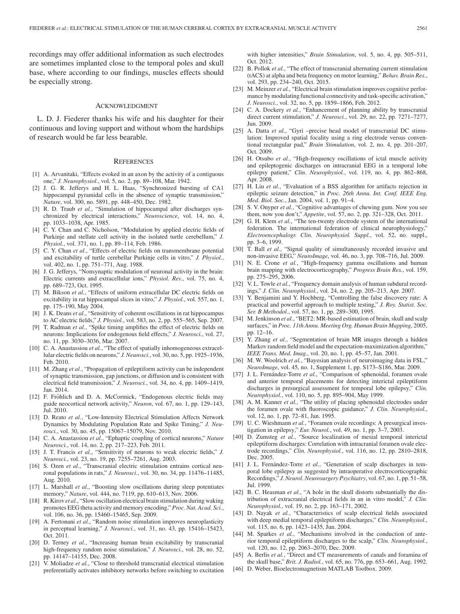recordings may offer additional information as such electrodes are sometimes implanted close to the temporal poles and skull base, where according to our findings, muscles effects should be especially strong.

#### ACKNOWLEDGMENT

L. D. J. Fiederer thanks his wife and his daughter for their continuous and loving support and without whom the hardships of research would be far less bearable.

#### **REFERENCES**

- [1] A. Arvanitaki, "Effects evoked in an axon by the activity of a contiguous one," *J. Neurophysiol.*, vol. 5, no. 2, pp. 89–108, Mar. 1942.
- [2] J. G. R. Jefferys and H. L. Haas, "Synchronized bursting of CA1 hippocampal pyramidal cells in the absence of synaptic transmission," *Nature*, vol. 300, no. 5891, pp. 448–450, Dec. 1982.
- [3] R. D. Traub *et al.*, "Simulation of hippocampal after discharges synchronized by electrical interactions," *Neuroscience*, vol. 14, no. 4, pp. 1033–1038, Apr. 1985.
- [4] C. Y. Chan and C. Nicholson, "Modulation by applied electric fields of Purkinje and stellate cell activity in the isolated turtle cerebellum," *J. Physiol.*, vol. 371, no. 1, pp. 89–114, Feb. 1986.
- [5] C. Y. Chan *et al.*, "Effects of electric fields on transmembrane potential and excitability of turtle cerebellar Purkinje cells in vitro," *J. Physiol.*, vol. 402, no. 1, pp. 751–771, Aug. 1988.
- [6] J. G. Jefferys, "Nonsynaptic modulation of neuronal activity in the brain: Electric currents and extracellular ions," *Physiol. Rev.*, vol. 75, no. 4, pp. 689–723, Oct. 1995.
- [7] M. Bikson et al., "Effects of uniform extracellular DC electric fields on excitability in rat hippocampal slices in vitro," *J. Physiol.*, vol. 557, no. 1, pp. 175–190, May 2004.
- [8] J. K. Deans *et al.*, "Sensitivity of coherent oscillations in rat hippocampus to AC electric fields," *J. Physiol.*, vol. 583, no. 2, pp. 555–565, Sep. 2007.
- [9] T. Radman *et al.*, "Spike timing amplifies the effect of electric fields on neurons: Implications for endogenous field effects," *J. Neurosci.*, vol. 27, no. 11, pp. 3030–3036, Mar. 2007.
- [10] C. A. Anastassiou *et al.*, "The effect of spatially inhomogeneous extracellular electric fields on neurons," *J. Neurosci.*, vol. 30, no. 5, pp. 1925–1936, Feb. 2010.
- [11] M. Zhang *et al.*, "Propagation of epileptiform activity can be independent of synaptic transmission, gap junctions, or diffusion and is consistent with electrical field transmission," *J. Neurosci.*, vol. 34, no. 4, pp. 1409–1419, Jan. 2014.
- [12] F. Fröhlich and D. A. McCormick, "Endogenous electric fields may guide neocortical network activity," *Neuron*, vol. 67, no. 1, pp. 129–143, Jul. 2010.
- [13] D. Reato et al., "Low-Intensity Electrical Stimulation Affects Network Dynamics by Modulating Population Rate and Spike Timing," *J. Neurosci.*, vol. 30, no. 45, pp. 15067–15079, Nov. 2010.
- [14] C. A. Anastassiou *et al.*, "Ephaptic coupling of cortical neurons," *Nature Neurosci.*, vol. 14, no. 2, pp. 217–223, Feb. 2011.
- [15] J. T. Francis *et al.*, "Sensitivity of neurons to weak electric fields," *J. Neurosci.*, vol. 23, no. 19, pp. 7255–7261, Aug. 2003.
- [16] S. Ozen *et al.*, "Transcranial electric stimulation entrains cortical neuronal populations in rats," *J. Neurosci.*, vol. 30, no. 34, pp. 11476–11485, Aug. 2010.
- [17] L. Marshall *et al.*, "Boosting slow oscillations during sleep potentiates memory," *Nature*, vol. 444, no. 7119, pp. 610–613, Nov. 2006.
- [18] R. Kirov *et al.*, "Slow oscillation electrical brain stimulation during waking promotes EEG theta activity and memory encoding," *Proc. Nat. Acad. Sci.*, vol. 106, no. 36, pp. 15460–15465, Sep. 2009.
- [19] A. Fertonani *et al.*, "Random noise stimulation improves neuroplasticity in perceptual learning," *J. Neurosci.*, vol. 31, no. 43, pp. 15416–15423, Oct. 2011.
- [20] D. Terney *et al.*, "Increasing human brain excitability by transcranial high-frequency random noise stimulation," *J. Neurosci.*, vol. 28, no. 52, pp. 14147–14155, Dec. 2008.
- [21] V. Moliadze *et al.*, "Close to threshold transcranial electrical stimulation preferentially activates inhibitory networks before switching to excitation

with higher intensities," *Brain Stimulation*, vol. 5, no. 4, pp. 505–511, Oct. 2012.

- [22] B. Pollok *et al.*, "The effect of transcranial alternating current stimulation (tACS) at alpha and beta frequency on motor learning," *Behav. Brain Res.*, vol. 293, pp. 234–240, Oct. 2015.
- [23] M. Meinzer et al., "Electrical brain stimulation improves cognitive performance by modulating functional connectivity and task-specific activation," *J. Neurosci.*, vol. 32, no. 5, pp. 1859–1866, Feb. 2012.
- [24] C. A. Dockery et al., "Enhancement of planning ability by transcranial direct current stimulation," *J. Neurosci.*, vol. 29, no. 22, pp. 7271–7277, Jun. 2009.
- [25] A. Datta et al., "Gyri -precise head model of transcranial DC stimulation: Improved spatial focality using a ring electrode versus conventional rectangular pad," *Brain Stimulation*, vol. 2, no. 4, pp. 201–207, Oct. 2009.
- [26] H. Otsubo *et al.*, "High-frequency oscillations of ictal muscle activity and epileptogenic discharges on intracranial EEG in a temporal lobe epilepsy patient," *Clin. Neurophysiol.*, vol. 119, no. 4, pp. 862–868, Apr. 2008.
- [27] H. Liu *et al.*, "Evaluation of a BSS algorithm for artifacts rejection in epileptic seizure detection," in *Proc. 26th Annu. Int. Conf. IEEE Eng. Med. Biol. Soc.*, Jan. 2004, vol. 1, pp. 91–4.
- [28] S. V. Onyper et al., "Cognitive advantages of chewing gum. Now you see them, now you don't," *Appetite*, vol. 57, no. 2, pp. 321–328, Oct. 2011.
- [29] G. H. Klem *et al.*, "The ten-twenty electrode system of the international federation. The international federation of clinical neurophysiology," *Electroencephalogr. Clin. Neurophysiol. Suppl.*, vol. 52, no. suppl., pp. 3–6, 1999.
- [30] T. Ball *et al.*, "Signal quality of simultaneously recorded invasive and non-invasive EEG," *NeuroImage*, vol. 46, no. 3, pp. 708–716, Jul. 2009.
- [31] N. E. Crone *et al.*, "High-frequency gamma oscillations and human brain mapping with electrocorticography," *Progress Brain Res.*, vol. 159, pp. 275–295, 2006.
- [32] V. L. Towle *et al.*, "Frequency domain analysis of human subdural recordings," *J. Clin. Neurophysiol.*, vol. 24, no. 2, pp. 205–213, Apr. 2007.
- [33] Y. Benjamini and Y. Hochberg, "Controlling the false discovery rate: A practical and powerful approach to multiple testing," *J. Roy. Statist. Soc. Ser. B Methodol.*, vol. 57, no. 1, pp. 289–300, 1995.
- [34] M. Jenkinson et al., "BET2: MR-based estimation of brain, skull and scalp surfaces," in *Proc. 11th Annu. Meeting Org. Human Brain Mapping*, 2005, pp. 12–16.
- [35] Y. Zhang et al., "Segmentation of brain MR images through a hidden Markov random field model and the expectation-maximization algorithm," *IEEE Trans. Med. Imag.*, vol. 20, no. 1, pp. 45–57, Jan. 2001.
- [36] M. W. Woolrich *et al.*, "Bayesian analysis of neuroimaging data in FSL," *NeuroImage*, vol. 45, no. 1, Supplement 1, pp. S173–S186, Mar. 2009.
- [37] J. L. Fernández-Torre et al., "Comparison of sphenoidal, foramen ovale and anterior temporal placements for detecting interictal epileptiform discharges in presurgical assessment for temporal lobe epilepsy," *Clin. Neurophysiol.*, vol. 110, no. 5, pp. 895–904, May 1999.
- [38] A. M. Kanner *et al.*, "The utility of placing sphenoidal electrodes under the foramen ovale with fluoroscopic guidance," *J. Clin. Neurophysiol.*, vol. 12, no. 1, pp. 72–81, Jan. 1995.
- [39] U. C. Wieshmann et al., "Foramen ovale recordings: A presurgical investigation in epilepsy," *Eur. Neurol.*, vol. 49, no. 1, pp. 3–7, 2003.
- [40] D. Zumsteg *et al.*, "Source localization of mesial temporal interictal epileptiform discharges: Correlation with intracranial foramen ovale electrode recordings," *Clin. Neurophysiol.*, vol. 116, no. 12, pp. 2810–2818, Dec. 2005.
- [41] J. L. Fernández-Torre et al., "Generation of scalp discharges in temporal lobe epilepsy as suggested by intraoperative electrocorticographic Recordings," *J. Neurol. Neurosurgery Psychiatry*, vol. 67, no. 1, pp. 51–58, Jul. 1999.
- [42] B. C. Heasman *et al.*, "A hole in the skull distorts substantially the distribution of extracranial electrical fields in an in vitro model," *J. Clin. Neurophysiol.*, vol. 19, no. 2, pp. 163–171, 2002.
- [43] D. Nayak et al., "Characteristics of scalp electrical fields associated with deep medial temporal epileptiform discharges," *Clin. Neurophysiol.*, vol. 115, no. 6, pp. 1423–1435, Jun. 2004.
- [44] M. Sparkes *et al.*, "Mechanisms involved in the conduction of anterior temporal epileptiform discharges to the scalp," *Clin. Neurophysiol.*, vol. 120, no. 12, pp. 2063–2070, Dec. 2009.
- [45] A. Berlis *et al.*, "Direct and CT measurements of canals and foramina of the skull base," *Brit. J. Radiol.*, vol. 65, no. 776, pp. 653–661, Aug. 1992.
- [46] D. Weber, Bioelectromagnetism MATLAB Toolbox. 2009.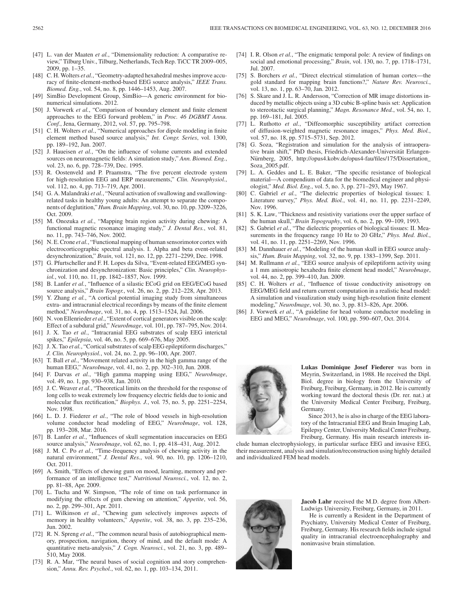- [47] L. van der Maaten et al., "Dimensionality reduction: A comparative review," Tilburg Univ., Tilburg, Netherlands, Tech Rep. TiCC TR 2009–005, 2009, pp. 1–35.
- [48] C. H. Wolters *et al.*, "Geometry-adapted hexahedral meshes improve accuracy of finite-element-method-based EEG source analysis," *IEEE Trans. Biomed. Eng.*, vol. 54, no. 8, pp. 1446–1453, Aug. 2007.
- [49] SimBio Development Group, SimBio—A generic environment for bionumerical simulations. 2012.
- [50] J. Vorwerk *et al.*, "Comparison of boundary element and finite element approaches to the EEG forward problem," in *Proc. 46 DGBMT Annu. Conf.*, Jena, Germany, 2012, vol. 57, pp. 795–798.
- [51] C. H. Wolters *et al.*, "Numerical approaches for dipole modeling in finite element method based source analysis," *Int. Congr. Series*, vol. 1300, pp. 189–192, Jun. 2007.
- [52] J. Haueisen *et al.*, "On the influence of volume currents and extended sources on neuromagnetic fields: A simulation study," *Ann. Biomed. Eng.*, vol. 23, no. 6, pp. 728–739, Dec. 1995.
- [53] R. Oostenveld and P. Praamstra, "The five percent electrode system for high-resolution EEG and ERP measurements," *Clin. Neurophysiol.*, vol. 112, no. 4, pp. 713–719, Apr. 2001.
- [54] G. A. Malandraki et al., "Neural activation of swallowing and swallowingrelated tasks in healthy young adults: An attempt to separate the components of deglutition," *Hum. Brain Mapping*, vol. 30, no. 10, pp. 3209–3226, Oct. 2009.
- [55] M. Onozuka *et al.*, "Mapping brain region activity during chewing: A functional magnetic resonance imaging study," *J. Dental Res.*, vol. 81, no. 11, pp. 743–746, Nov. 2002.
- [56] N. E. Crone *et al.*, "Functional mapping of human sensorimotor cortex with electrocorticographic spectral analysis. I. Alpha and beta event-related desynchronization," *Brain*, vol. 121, no. 12, pp. 2271–2299, Dec. 1998.
- [57] G. Pfurtscheller and F. H. Lopes da Silva, "Event-related EEG/MEG synchronization and desynchronization: Basic principles," *Clin. Neurophysiol.*, vol. 110, no. 11, pp. 1842–1857, Nov. 1999.
- [58] B. Lanfer et al., "Influence of a silastic ECoG grid on EEG/ECoG based source analysis," *Brain Topogr.*, vol. 26, no. 2, pp. 212–228, Apr. 2013.
- [59] Y. Zhang *et al.*, "A cortical potential imaging study from simultaneous extra- and intracranial electrical recordings by means of the finite element method," *NeuroImage*, vol. 31, no. 4, pp. 1513–1524, Jul. 2006.
- [60] N. von Ellenrieder *et al.*, "Extent of cortical generators visible on the scalp: Effect of a subdural grid," *NeuroImage*, vol. 101, pp. 787–795, Nov. 2014.
- [61] J. X. Tao *et al.*, "Intracranial EEG substrates of scalp EEG interictal spikes," *Epilepsia*, vol. 46, no. 5, pp. 669–676, May 2005.
- [62] J. X. Tao *et al.*, "Cortical substrates of scalp EEG epileptiform discharges," *J. Clin. Neurophysiol.*, vol. 24, no. 2, pp. 96–100, Apr. 2007.
- [63] T. Ball *et al.*, "Movement related activity in the high gamma range of the human EEG," *NeuroImage*, vol. 41, no. 2, pp. 302–310, Jun. 2008.
- [64] F. Darvas *et al.*, "High gamma mapping using EEG," *NeuroImage*, vol. 49, no. 1, pp. 930–938, Jan. 2010.
- [65] J. C. Weaver *et al.*, "Theoretical limits on the threshold for the response of long cells to weak extremely low frequency electric fields due to ionic and molecular flux rectification," *Biophys. J.*, vol. 75, no. 5, pp. 2251–2254, Nov. 1998.
- [66] L. D. J. Fiederer *et al.*, "The role of blood vessels in high-resolution volume conductor head modeling of EEG," *NeuroImage*, vol. 128, pp. 193–208, Mar. 2016.
- [67] B. Lanfer *et al.*, "Influences of skull segmentation inaccuracies on EEG source analysis," *NeuroImage*, vol. 62, no. 1, pp. 418–431, Aug. 2012.
- [68] J. M. C. Po *et al.*, "Time-frequency analysis of chewing activity in the natural environment," *J. Dental Res.*, vol. 90, no. 10, pp. 1206–1210, Oct. 2011.
- [69] A. Smith, "Effects of chewing gum on mood, learning, memory and performance of an intelligence test," *Nutritional Neurosci.*, vol. 12, no. 2, pp. 81–88, Apr. 2009.
- [70] L. Tucha and W. Simpson, "The role of time on task performance in modifying the effects of gum chewing on attention," *Appetite*, vol. 56, no. 2, pp. 299–301, Apr. 2011.
- [71] L. Wilkinson *et al.*, "Chewing gum selectively improves aspects of memory in healthy volunteers," *Appetite*, vol. 38, no. 3, pp. 235–236, Jun. 2002.
- [72] R. N. Spreng *et al.*, "The common neural basis of autobiographical memory, prospection, navigation, theory of mind, and the default mode: A quantitative meta-analysis," *J. Cogn. Neurosci.*, vol. 21, no. 3, pp. 489– 510, May 2008.
- [73] R. A. Mar, "The neural bases of social cognition and story comprehension," *Annu. Rev. Psychol.*, vol. 62, no. 1, pp. 103–134, 2011.
- [74] I. R. Olson *et al.*, "The enigmatic temporal pole: A review of findings on social and emotional processing," *Brain*, vol. 130, no. 7, pp. 1718–1731, Jul. 2007.
- [75] S. Borchers *et al.*, "Direct electrical stimulation of human cortex—the gold standard for mapping brain functions?," *Nature Rev. Neurosci.*, vol. 13, no. 1, pp. 63–70, Jan. 2012.
- [76] S. Skare and J. L. R. Andersson, "Correction of MR image distortions induced by metallic objects using a 3D cubic B-spline basis set: Application to stereotactic surgical planning," *Magn. Resonance Med.*, vol. 54, no. 1, pp. 169–181, Jul. 2005.
- [77] L. Ruthotto *et al.*, "Diffeomorphic susceptibility artifact correction of diffusion-weighted magnetic resonance images," *Phys. Med. Biol.*, vol. 57, no. 18, pp. 5715–5731, Sep. 2012.
- [78] G. Soza, "Registration and simulation for the analysis of intraoperative brain shift," PhD thesis, Friedrich-Alexander-Universität Erlangen-Nürnberg, 2005, http://opus4.kobv.de/opus4-fau/files/175/Dissertation\_ Soza\_2005.pdf.
- [79] L. A. Geddes and L. E. Baker, "The specific resistance of biological material—A compendium of data for the biomedical engineer and physiologist," *Med. Biol. Eng.*, vol. 5, no. 3, pp. 271–293, May 1967.
- [80] C. Gabriel *et al.*, "The dielectric properties of biological tissues: I. Literature survey," *Phys. Med. Biol.*, vol. 41, no. 11, pp. 2231–2249, Nov. 1996.
- [81] S. K. Law, "Thickness and resistivity variations over the upper surface of the human skull," *Brain Topography*, vol. 6, no. 2, pp. 99–109, 1993.
- [82] S. Gabriel et al., "The dielectric properties of biological tissues: II. Measurements in the frequency range 10 Hz to 20 GHz," *Phys. Med. Biol.*, vol. 41, no. 11, pp. 2251–2269, Nov. 1996.
- [83] M. Dannhauer et al., "Modeling of the human skull in EEG source analysis," *Hum. Brain Mapping*, vol. 32, no. 9, pp. 1383–1399, Sep. 2011.
- [84] M. Rullmann *et al.*, "EEG source analysis of epileptiform activity using a 1 mm anisotropic hexahedra finite element head model," *NeuroImage*, vol. 44, no. 2, pp. 399–410, Jan. 2009.
- [85] C. H. Wolters *et al.*, "Influence of tissue conductivity anisotropy on EEG/MEG field and return current computation in a realistic head model: A simulation and visualization study using high-resolution finite element modeling," *NeuroImage*, vol. 30, no. 3, pp. 813–826, Apr. 2006.
- [86] J. Vorwerk *et al.*, "A guideline for head volume conductor modeling in EEG and MEG," *NeuroImage*, vol. 100, pp. 590–607, Oct. 2014.



**Lukas Dominique Josef Fiederer** was born in Meyrin, Switzerland, in 1988. He received the Dipl. Biol. degree in biology from the University of Freiburg, Freiburg, Germany, in 2012. He is currently working toward the doctoral thesis (Dr. rer. nat.) at the University Medical Center Freiburg, Freiburg, Germany.

Since 2013, he is also in charge of the EEG laboratory of the Intracranial EEG and Brain Imaging Lab, Epilepsy Center, University Medical Center Freiburg, Freiburg, Germany. His main research interests in-

clude human electrophysiology, in particular surface EEG and invasive EEG, their measurement, analysis and simulation/reconstruction using highly detailed and individualized FEM head models.



**Jacob Lahr** received the M.D. degree from Albert-Ludwigs University, Freiburg, Germany, in 2011.

He is currently a Resident in the Department of Psychiatry, University Medical Center of Freiburg, Freiburg, Germany. His research fields include signal quality in intracranial electroencephalography and noninvasive brain stimulation.